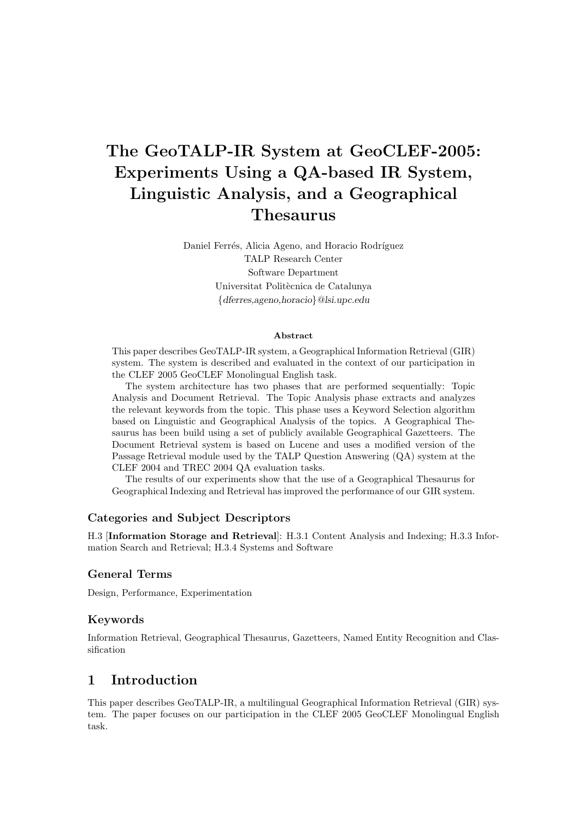# The GeoTALP-IR System at GeoCLEF-2005: Experiments Using a QA-based IR System, Linguistic Analysis, and a Geographical Thesaurus

Daniel Ferrés, Alicia Ageno, and Horacio Rodríguez TALP Research Center Software Department Universitat Politècnica de Catalunya {dferres,ageno,horacio}@lsi.upc.edu

#### Abstract

This paper describes GeoTALP-IR system, a Geographical Information Retrieval (GIR) system. The system is described and evaluated in the context of our participation in the CLEF 2005 GeoCLEF Monolingual English task.

The system architecture has two phases that are performed sequentially: Topic Analysis and Document Retrieval. The Topic Analysis phase extracts and analyzes the relevant keywords from the topic. This phase uses a Keyword Selection algorithm based on Linguistic and Geographical Analysis of the topics. A Geographical Thesaurus has been build using a set of publicly available Geographical Gazetteers. The Document Retrieval system is based on Lucene and uses a modified version of the Passage Retrieval module used by the TALP Question Answering (QA) system at the CLEF 2004 and TREC 2004 QA evaluation tasks.

The results of our experiments show that the use of a Geographical Thesaurus for Geographical Indexing and Retrieval has improved the performance of our GIR system.

#### Categories and Subject Descriptors

H.3 [Information Storage and Retrieval]: H.3.1 Content Analysis and Indexing; H.3.3 Information Search and Retrieval; H.3.4 Systems and Software

#### General Terms

Design, Performance, Experimentation

#### Keywords

Information Retrieval, Geographical Thesaurus, Gazetteers, Named Entity Recognition and Classification

## 1 Introduction

This paper describes GeoTALP-IR, a multilingual Geographical Information Retrieval (GIR) system. The paper focuses on our participation in the CLEF 2005 GeoCLEF Monolingual English task.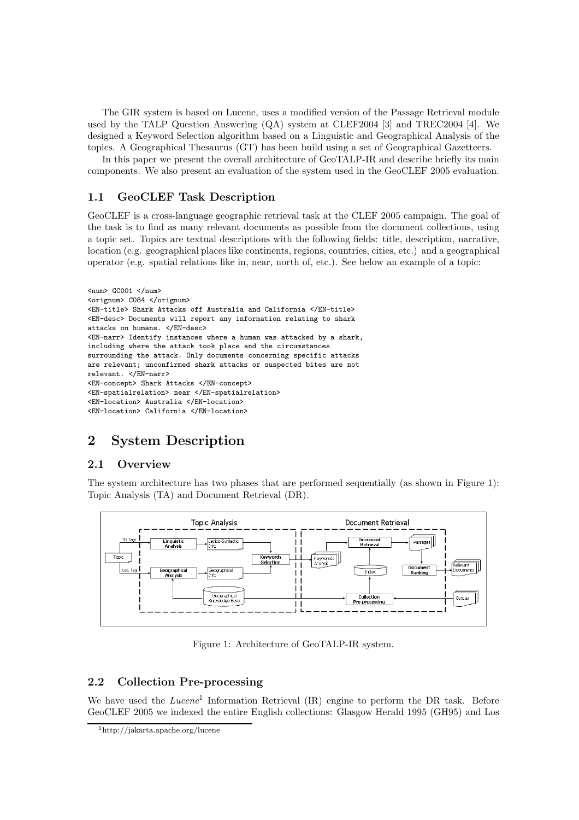The GIR system is based on Lucene, uses a modified version of the Passage Retrieval module used by the TALP Question Answering (QA) system at CLEF2004 [3] and TREC2004 [4]. We designed a Keyword Selection algorithm based on a Linguistic and Geographical Analysis of the topics. A Geographical Thesaurus (GT) has been build using a set of Geographical Gazetteers.

In this paper we present the overall architecture of GeoTALP-IR and describe briefly its main components. We also present an evaluation of the system used in the GeoCLEF 2005 evaluation.

### 1.1 GeoCLEF Task Description

GeoCLEF is a cross-language geographic retrieval task at the CLEF 2005 campaign. The goal of the task is to find as many relevant documents as possible from the document collections, using a topic set. Topics are textual descriptions with the following fields: title, description, narrative, location (e.g. geographical places like continents, regions, countries, cities, etc.) and a geographical operator (e.g. spatial relations like in, near, north of, etc.). See below an example of a topic:

```
\langlenum> GC001 \langle/num>
<orignum> C084 </orignum>
<EN-title> Shark Attacks off Australia and California </EN-title>
<EN-desc> Documents will report any information relating to shark
attacks on humans. </EN-desc>
<EN-narr> Identify instances where a human was attacked by a shark,
including where the attack took place and the circumstances
surrounding the attack. Only documents concerning specific attacks
are relevant; unconfirmed shark attacks or suspected bites are not
relevant. </EN-narr>
<EN-concept> Shark Attacks </EN-concept>
<EN-spatialrelation> near </EN-spatialrelation>
<EN-location> Australia </EN-location>
<EN-location> California </EN-location>
```
## 2 System Description

#### 2.1 Overview

The system architecture has two phases that are performed sequentially (as shown in Figure 1): Topic Analysis (TA) and Document Retrieval (DR).



Figure 1: Architecture of GeoTALP-IR system.

## 2.2 Collection Pre-processing

We have used the *Lucene*<sup>1</sup> Information Retrieval (IR) engine to perform the DR task. Before GeoCLEF 2005 we indexed the entire English collections: Glasgow Herald 1995 (GH95) and Los

<sup>1</sup>http://jakarta.apache.org/lucene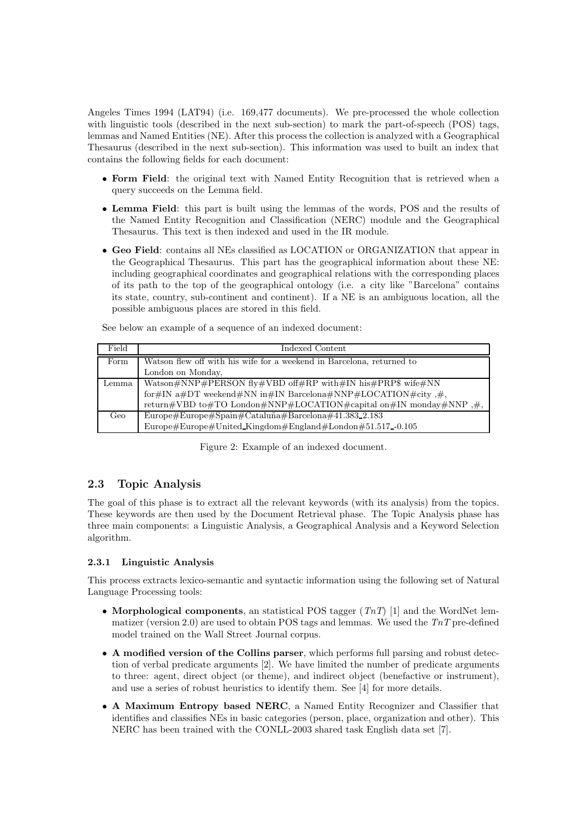Angeles Times 1994 (LAT94) (i.e. 169,477 documents). We pre-processed the whole collection with linguistic tools (described in the next sub-section) to mark the part-of-speech (POS) tags, lemmas and Named Entities (NE). After this process the collection is analyzed with a Geographical Thesaurus (described in the next sub-section). This information was used to built an index that contains the following fields for each document:

- Form Field: the original text with Named Entity Recognition that is retrieved when a query succeeds on the Lemma field.
- Lemma Field: this part is built using the lemmas of the words, POS and the results of the Named Entity Recognition and Classification (NERC) module and the Geographical Thesaurus. This text is then indexed and used in the IR module.
- Geo Field: contains all NEs classified as LOCATION or ORGANIZATION that appear in the Geographical Thesaurus. This part has the geographical information about these NE: including geographical coordinates and geographical relations with the corresponding places of its path to the top of the geographical ontology (i.e. a city like "Barcelona" contains its state, country, sub-continent and continent). If a NE is an ambiguous location, all the possible ambiguous places are stored in this field.

| Field | Indexed Content                                                       |
|-------|-----------------------------------------------------------------------|
| Form  | Watson flew off with his wife for a weekend in Barcelona, returned to |
|       | London on Monday,                                                     |
| Lemma | Watson#NNP#PERSON fly#VBD off#RP with#IN his#PRP\$ wife#NN            |
|       | for#IN a#DT weekend#NN in#IN Barcelona#NNP#LOCATION#city,#,           |
|       | return#VBD to#TO London#NNP#LOCATION#capital on#IN monday#NNP,#,      |
| Geo   | Europe#Europe#Spain#Cataluña#Barcelona#41.383_2.183                   |
|       | Europe#Europe#United_Kingdom#England#London#51.517-0.105              |

See below an example of a sequence of an indexed document:

Figure 2: Example of an indexed document.

## 2.3 Topic Analysis

The goal of this phase is to extract all the relevant keywords (with its analysis) from the topics. These keywords are then used by the Document Retrieval phase. The Topic Analysis phase has three main components: a Linguistic Analysis, a Geographical Analysis and a Keyword Selection algorithm.

#### 2.3.1 Linguistic Analysis

This process extracts lexico-semantic and syntactic information using the following set of Natural Language Processing tools:

- Morphological components, an statistical POS tagger  $(TnT)$  [1] and the WordNet lemmatizer (version 2.0) are used to obtain POS tags and lemmas. We used the  $TnT$  pre-defined model trained on the Wall Street Journal corpus.
- A modified version of the Collins parser, which performs full parsing and robust detection of verbal predicate arguments [2]. We have limited the number of predicate arguments to three: agent, direct object (or theme), and indirect object (benefactive or instrument), and use a series of robust heuristics to identify them. See [4] for more details.
- A Maximum Entropy based NERC, a Named Entity Recognizer and Classifier that identifies and classifies NEs in basic categories (person, place, organization and other). This NERC has been trained with the CONLL-2003 shared task English data set [7].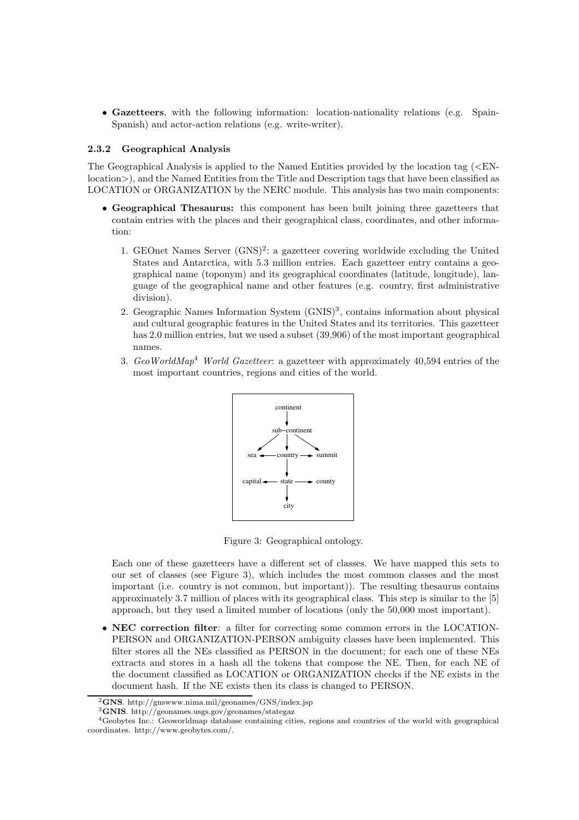• Gazetteers, with the following information: location-nationality relations (e.g. Spain-Spanish) and actor-action relations (e.g. write-writer).

#### 2.3.2 Geographical Analysis

The Geographical Analysis is applied to the Named Entities provided by the location tag  $\leq$ ENlocation>), and the Named Entities from the Title and Description tags that have been classified as LOCATION or ORGANIZATION by the NERC module. This analysis has two main components:

- Geographical Thesaurus: this component has been built joining three gazetteers that contain entries with the places and their geographical class, coordinates, and other information:
	- 1. GEOnet Names Server (GNS)<sup>2</sup>: a gazetteer covering worldwide excluding the United States and Antarctica, with 5.3 million entries. Each gazetteer entry contains a geographical name (toponym) and its geographical coordinates (latitude, longitude), language of the geographical name and other features (e.g. country, first administrative division).
	- 2. Geographic Names Information System (GNIS)<sup>3</sup>, contains information about physical and cultural geographic features in the United States and its territories. This gazetteer has 2.0 million entries, but we used a subset (39,906) of the most important geographical names.
	- 3. GeoWorldMap<sup>4</sup> World Gazetteer: a gazetteer with approximately 40,594 entries of the most important countries, regions and cities of the world.



Figure 3: Geographical ontology.

Each one of these gazetteers have a different set of classes. We have mapped this sets to our set of classes (see Figure 3), which includes the most common classes and the most important (i.e. country is not common, but important)). The resulting thesaurus contains approximately 3.7 million of places with its geographical class. This step is similar to the [5] approach, but they used a limited number of locations (only the 50,000 most important).

• NEC correction filter: a filter for correcting some common errors in the LOCATION-PERSON and ORGANIZATION-PERSON ambiguity classes have been implemented. This filter stores all the NEs classified as PERSON in the document; for each one of these NEs extracts and stores in a hash all the tokens that compose the NE. Then, for each NE of the document classified as LOCATION or ORGANIZATION checks if the NE exists in the document hash. If the NE exists then its class is changed to PERSON.

 ${}^{2}$ GNS. http://gnswww.nima.mil/geonames/GNS/index.jsp

 $^3{\mbox{\bf GNIS}}.$ http://geonames.usgs.gov/geonames/stategaz

<sup>4</sup>Geobytes Inc.: Geoworldmap database containing cities, regions and countries of the world with geographical coordinates. http://www.geobytes.com/.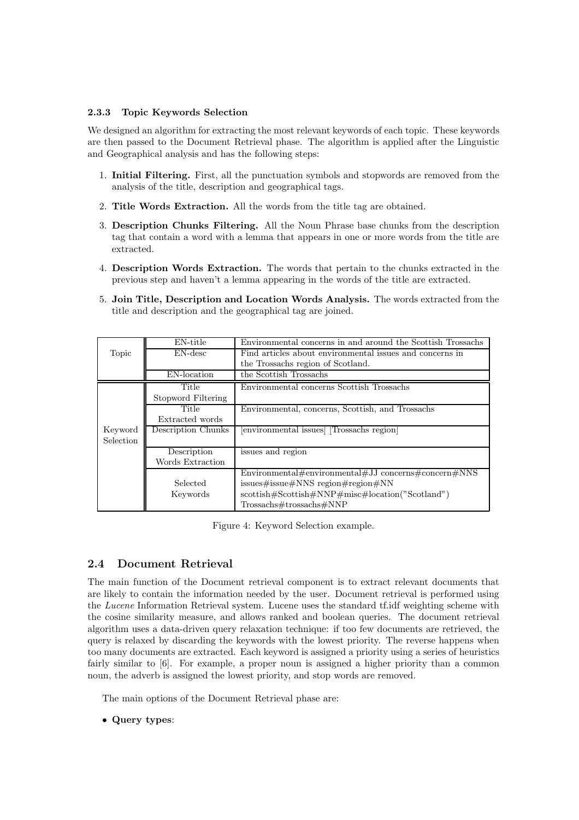#### 2.3.3 Topic Keywords Selection

We designed an algorithm for extracting the most relevant keywords of each topic. These keywords are then passed to the Document Retrieval phase. The algorithm is applied after the Linguistic and Geographical analysis and has the following steps:

- 1. Initial Filtering. First, all the punctuation symbols and stopwords are removed from the analysis of the title, description and geographical tags.
- 2. Title Words Extraction. All the words from the title tag are obtained.
- 3. Description Chunks Filtering. All the Noun Phrase base chunks from the description tag that contain a word with a lemma that appears in one or more words from the title are extracted.
- 4. Description Words Extraction. The words that pertain to the chunks extracted in the previous step and haven't a lemma appearing in the words of the title are extracted.
- 5. Join Title, Description and Location Words Analysis. The words extracted from the title and description and the geographical tag are joined.

|                  | EN-title           | Environmental concerns in and around the Scottish Trossachs |  |  |  |
|------------------|--------------------|-------------------------------------------------------------|--|--|--|
| Topic            | EN-desc            | Find articles about environmental issues and concerns in    |  |  |  |
|                  |                    | the Trossachs region of Scotland.                           |  |  |  |
|                  | EN-location        | the Scottish Trossachs                                      |  |  |  |
|                  | Title              | Environmental concerns Scottish Trossachs                   |  |  |  |
|                  | Stopword Filtering |                                                             |  |  |  |
|                  | Title              | Environmental, concerns, Scottish, and Trossachs            |  |  |  |
|                  | Extracted words    |                                                             |  |  |  |
| Keyword          | Description Chunks | [environmental issues] [Trossachs region]                   |  |  |  |
| <b>Selection</b> |                    |                                                             |  |  |  |
|                  | Description        | issues and region                                           |  |  |  |
|                  | Words Extraction   |                                                             |  |  |  |
|                  |                    | Environmental#environmental#JJ concerns#concern#NNS         |  |  |  |
|                  | Selected           | issues#issue#NNS region#region#NN                           |  |  |  |
|                  | Keywords           | $\text{scottish#Scottish#NNP#misc#location("Scotland")}$    |  |  |  |
|                  |                    | Trossachs#trossachs#NNP                                     |  |  |  |

Figure 4: Keyword Selection example.

#### 2.4 Document Retrieval

The main function of the Document retrieval component is to extract relevant documents that are likely to contain the information needed by the user. Document retrieval is performed using the Lucene Information Retrieval system. Lucene uses the standard tf.idf weighting scheme with the cosine similarity measure, and allows ranked and boolean queries. The document retrieval algorithm uses a data-driven query relaxation technique: if too few documents are retrieved, the query is relaxed by discarding the keywords with the lowest priority. The reverse happens when too many documents are extracted. Each keyword is assigned a priority using a series of heuristics fairly similar to [6]. For example, a proper noun is assigned a higher priority than a common noun, the adverb is assigned the lowest priority, and stop words are removed.

The main options of the Document Retrieval phase are:

• Query types: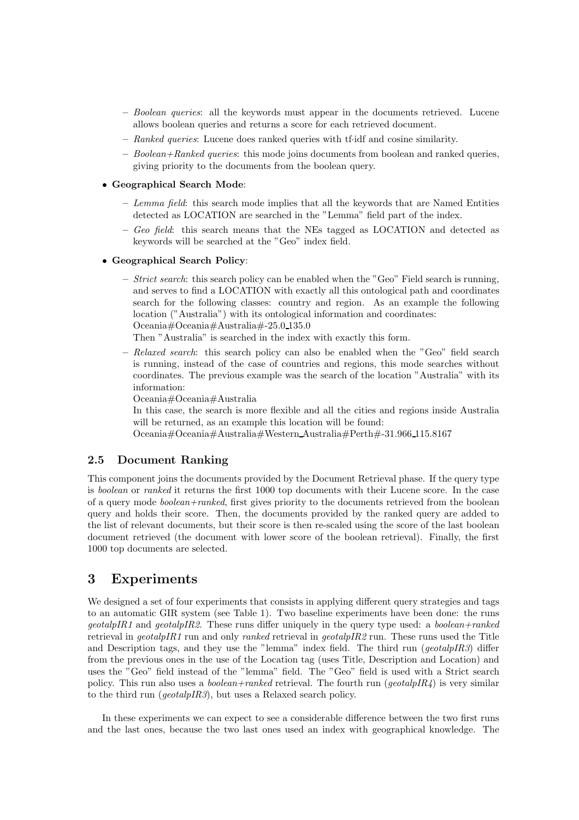- Boolean queries: all the keywords must appear in the documents retrieved. Lucene allows boolean queries and returns a score for each retrieved document.
- Ranked queries: Lucene does ranked queries with tf·idf and cosine similarity.
- $-$  Boolean+Ranked queries: this mode joins documents from boolean and ranked queries, giving priority to the documents from the boolean query.

#### • Geographical Search Mode:

- $-$  Lemma field: this search mode implies that all the keywords that are Named Entities detected as LOCATION are searched in the "Lemma" field part of the index.
- $-$  Geo field: this search means that the NEs tagged as LOCATION and detected as keywords will be searched at the "Geo" index field.

#### • Geographical Search Policy:

 $-$  *Strict search*: this search policy can be enabled when the "Geo" Field search is running, and serves to find a LOCATION with exactly all this ontological path and coordinates search for the following classes: country and region. As an example the following location ("Australia") with its ontological information and coordinates: Oceania#Oceania#Australia#-25.0 135.0

Then "Australia" is searched in the index with exactly this form.

 $-$  Relaxed search: this search policy can also be enabled when the "Geo" field search is running, instead of the case of countries and regions, this mode searches without coordinates. The previous example was the search of the location "Australia" with its information:

Oceania#Oceania#Australia

In this case, the search is more flexible and all the cities and regions inside Australia will be returned, as an example this location will be found:

Oceania#Oceania#Australia#Western Australia#Perth#-31.966 115.8167

#### 2.5 Document Ranking

This component joins the documents provided by the Document Retrieval phase. If the query type is boolean or ranked it returns the first 1000 top documents with their Lucene score. In the case of a query mode boolean+ranked, first gives priority to the documents retrieved from the boolean query and holds their score. Then, the documents provided by the ranked query are added to the list of relevant documents, but their score is then re-scaled using the score of the last boolean document retrieved (the document with lower score of the boolean retrieval). Finally, the first 1000 top documents are selected.

## 3 Experiments

We designed a set of four experiments that consists in applying different query strategies and tags to an automatic GIR system (see Table 1). Two baseline experiments have been done: the runs  $qecta lpIR1$  and  $qecta lpIR2$ . These runs differ uniquely in the query type used: a boolean+ranked retrieval in geotalpIR1 run and only ranked retrieval in geotalpIR2 run. These runs used the Title and Description tags, and they use the "lemma" index field. The third run ( $geothpIR3$ ) differ from the previous ones in the use of the Location tag (uses Title, Description and Location) and uses the "Geo" field instead of the "lemma" field. The "Geo" field is used with a Strict search policy. This run also uses a *boolean+ranked* retrieval. The fourth run ( $\text{geotalpIR4}$ ) is very similar to the third run (geotalpIR3), but uses a Relaxed search policy.

In these experiments we can expect to see a considerable difference between the two first runs and the last ones, because the two last ones used an index with geographical knowledge. The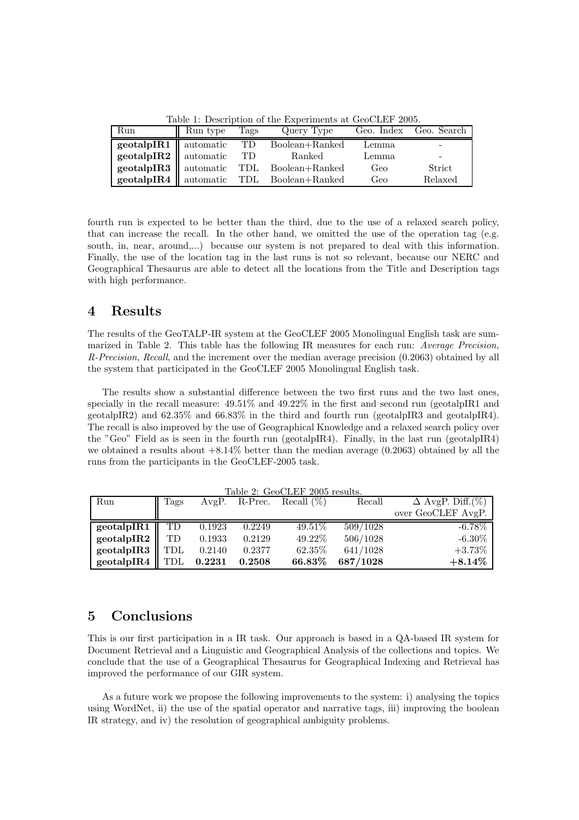Table 1: Description of the Experiments at GeoCLEF 2005.

| Iterate It is contributed to the interesting the computer to a second the second |          |      |                                                |       |                        |  |  |  |
|----------------------------------------------------------------------------------|----------|------|------------------------------------------------|-------|------------------------|--|--|--|
| Run                                                                              | Run type | Tags | Query Type                                     |       | Geo. Index Geo. Search |  |  |  |
|                                                                                  |          |      | geotalpIR1    automatic TD Boolean+Ranked      | Lemma |                        |  |  |  |
| <b>geotalpIR2</b> automatic TD                                                   |          |      | Ranked                                         | Lemma | -                      |  |  |  |
|                                                                                  |          |      | geotalpIR3    automatic TDL Boolean+Ranked     | Geo   | Strict                 |  |  |  |
|                                                                                  |          |      | <b>geotalpIR4</b> automatic TDL Boolean+Ranked | Geo   | Relaxed                |  |  |  |

fourth run is expected to be better than the third, due to the use of a relaxed search policy, that can increase the recall. In the other hand, we omitted the use of the operation tag (e.g. south, in, near, around,...) because our system is not prepared to deal with this information. Finally, the use of the location tag in the last runs is not so relevant, because our NERC and Geographical Thesaurus are able to detect all the locations from the Title and Description tags with high performance.

## 4 Results

The results of the GeoTALP-IR system at the GeoCLEF 2005 Monolingual English task are summarized in Table 2. This table has the following IR measures for each run: Average Precision, R-Precision, Recall, and the increment over the median average precision (0.2063) obtained by all the system that participated in the GeoCLEF 2005 Monolingual English task.

The results show a substantial difference between the two first runs and the two last ones, specially in the recall measure:  $49.51\%$  and  $49.22\%$  in the first and second run (geotalpIR1 and geotalpIR2) and 62.35% and 66.83% in the third and fourth run (geotalpIR3 and geotalpIR4). The recall is also improved by the use of Geographical Knowledge and a relaxed search policy over the "Geo" Field as is seen in the fourth run (geotalpIR4). Finally, in the last run (geotalpIR4) we obtained a results about  $+8.14\%$  better than the median average (0.2063) obtained by all the runs from the participants in the GeoCLEF-2005 task.

| Run                        | Tags |        |        | $1000 \; 2.$ QCOOTLE 2009 RSURS.<br>AvgP. R-Prec. Recall $(\%)$ | Recall   | $\overline{\Delta \text{AvgP}}$ . Diff. $(\%)$ |
|----------------------------|------|--------|--------|-----------------------------------------------------------------|----------|------------------------------------------------|
|                            |      |        |        |                                                                 |          | over GeoCLEF AvgP.                             |
| geotalpIR1 $\parallel$     | TD   | 0.1923 | 0.2249 | 49.51%                                                          | 509/1028 | $-6.78\%$                                      |
| geotalpIR2 $\parallel$     | TD   | 0.1933 | 0.2129 | 49.22%                                                          | 506/1028 | $-6.30\%$                                      |
| geotalpIR3 $\parallel$ TDL |      | 0.2140 | 0.2377 | 62.35%                                                          | 641/1028 | $+3.73%$                                       |
| geotalpIR4 $\parallel$ TDL |      | 0.2231 | 0.2508 | 66.83%                                                          | 687/1028 | $+8.14\%$                                      |

 $Table 2: CoCIFF 2005 results.$ 

## 5 Conclusions

This is our first participation in a IR task. Our approach is based in a QA-based IR system for Document Retrieval and a Linguistic and Geographical Analysis of the collections and topics. We conclude that the use of a Geographical Thesaurus for Geographical Indexing and Retrieval has improved the performance of our GIR system.

As a future work we propose the following improvements to the system: i) analysing the topics using WordNet, ii) the use of the spatial operator and narrative tags, iii) improving the boolean IR strategy, and iv) the resolution of geographical ambiguity problems.